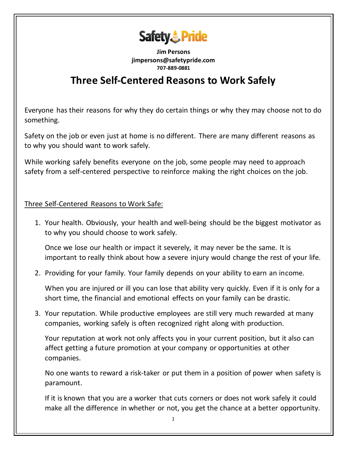

**Jim Persons jimpersons@safetypride.com 707-889-0881**

## **Three Self-Centered Reasons to Work Safely**

Everyone has their reasons for why they do certain things or why they may choose not to do something.

Safety on the job or even just [at home](https://www.safetytalkideas.com/safety-talks/home-safety/) is no different. There are many different reasons as to why you should want to work safely.

While working safely benefits everyone on the job, some people may need to approach safety from a self-centered perspective to reinforce making the right choices on the job.

Three Self-Centered Reasons to Work Safe:

1. Your health. Obviously, your [health and well-being](https://www.safetytalkideas.com/safetytalks/health-is-everything/) should be the biggest motivator as to why you should choose to work safely.

Once we lose our health or impact it severely, it may never be the same. It is important to really think about how a severe injury would change the rest of your life.

2. Providing for your family. Your family depends on your ability to earn an income.

When you are injured or ill you can lose that ability very quickly. Even if it is only for a short time, the financial and emotional effects on your family can be drastic.

3. Your reputation. While productive employees are still very much rewarded at many companies, working safely is often recognized right along with production.

Your reputation at work not only affects you in your current position, but it also can affect getting a future promotion at your company or opportunities at other companies.

No one wants to reward a risk-taker or put them in a position of power when safety is paramount.

If it is known that you are a worker that cuts corners or does not work safely it could make all the difference in whether or not, you get the chance at a better opportunity.